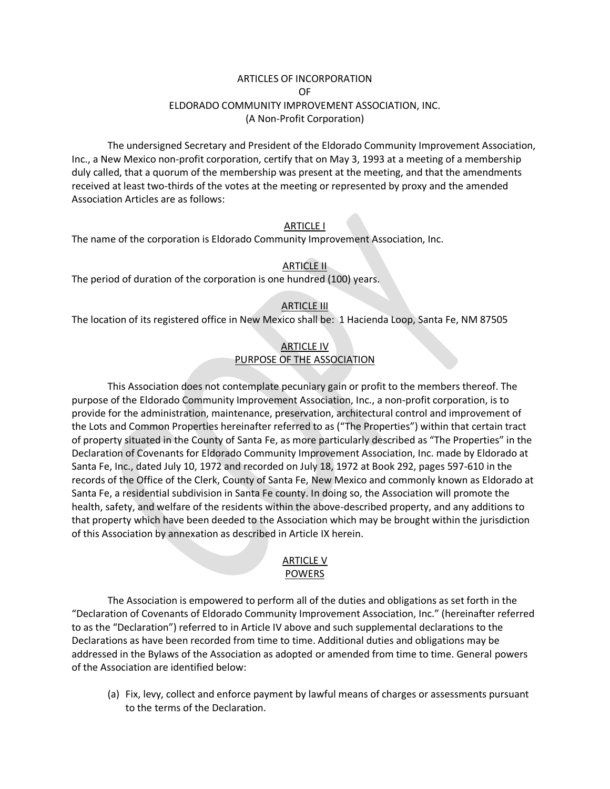# ARTICLES OF INCORPORATION OF ELDORADO COMMUNITY IMPROVEMENT ASSOCIATION, INC. (A Non-Profit Corporation)

The undersigned Secretary and President of the Eldorado Community Improvement Association, Inc., a New Mexico non-profit corporation, certify that on May 3, 1993 at a meeting of a membership duly called, that a quorum of the membership was present at the meeting, and that the amendments received at least two-thirds of the votes at the meeting or represented by proxy and the amended Association Articles are as follows:

#### ARTICLE I

The name of the corporation is Eldorado Community Improvement Association, Inc.

### ARTICLE II

The period of duration of the corporation is one hundred (100) years.

### **ARTICLE III**

The location of its registered office in New Mexico shall be: 1 Hacienda Loop, Santa Fe, NM 87505

# ARTICLE IV PURPOSE OF THE ASSOCIATION

This Association does not contemplate pecuniary gain or profit to the members thereof. The purpose of the Eldorado Community Improvement Association, Inc., a non-profit corporation, is to provide for the administration, maintenance, preservation, architectural control and improvement of the Lots and Common Properties hereinafter referred to as ("The Properties") within that certain tract of property situated in the County of Santa Fe, as more particularly described as "The Properties" in the Declaration of Covenants for Eldorado Community Improvement Association, Inc. made by Eldorado at Santa Fe, Inc., dated July 10, 1972 and recorded on July 18, 1972 at Book 292, pages 597-610 in the records of the Office of the Clerk, County of Santa Fe, New Mexico and commonly known as Eldorado at Santa Fe, a residential subdivision in Santa Fe county. In doing so, the Association will promote the health, safety, and welfare of the residents within the above-described property, and any additions to that property which have been deeded to the Association which may be brought within the jurisdiction of this Association by annexation as described in Article IX herein.

#### ARTICLE V POWERS

The Association is empowered to perform all of the duties and obligations as set forth in the "Declaration of Covenants of Eldorado Community Improvement Association, Inc." (hereinafter referred to as the "Declaration") referred to in Article IV above and such supplemental declarations to the Declarations as have been recorded from time to time. Additional duties and obligations may be addressed in the Bylaws of the Association as adopted or amended from time to time. General powers of the Association are identified below:

(a) Fix, levy, collect and enforce payment by lawful means of charges or assessments pursuant to the terms of the Declaration.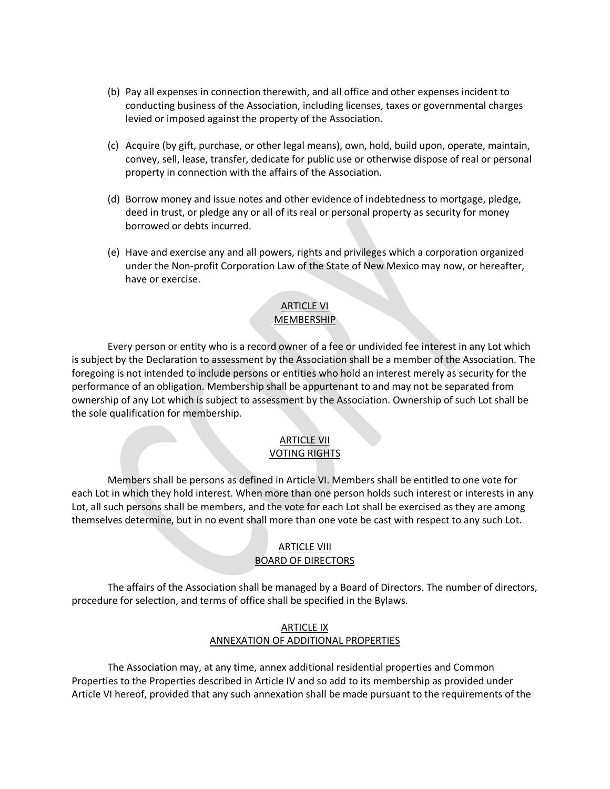- (b) Pay all expenses in connection therewith, and all office and other expenses incident to conducting business of the Association, including licenses, taxes or governmental charges levied or imposed against the property of the Association.
- (c) Acquire (by gift, purchase, or other legal means), own, hold, build upon, operate, maintain, convey, sell, lease, transfer, dedicate for public use or otherwise dispose of real or personal property in connection with the affairs of the Association.
- (d) Borrow money and issue notes and other evidence of indebtedness to mortgage, pledge, deed in trust, or pledge any or all of its real or personal property as security for money borrowed or debts incurred.
- (e) Have and exercise any and all powers, rights and privileges which a corporation organized under the Non-profit Corporation Law of the State of New Mexico may now, or hereafter, have or exercise.

# ARTICLE VI **MEMBERSHIP**

Every person or entity who is a record owner of a fee or undivided fee interest in any Lot which is subject by the Declaration to assessment by the Association shall be a member of the Association. The foregoing is not intended to include persons or entities who hold an interest merely as security for the performance of an obligation. Membership shall be appurtenant to and may not be separated from ownership of any Lot which is subject to assessment by the Association. Ownership of such Lot shall be the sole qualification for membership.

# ARTICLE VII VOTING RIGHTS

Members shall be persons as defined in Article VI. Members shall be entitled to one vote for each Lot in which they hold interest. When more than one person holds such interest or interests in any Lot, all such persons shall be members, and the vote for each Lot shall be exercised as they are among themselves determine, but in no event shall more than one vote be cast with respect to any such Lot.

# **ARTICLE VIII** BOARD OF DIRECTORS

The affairs of the Association shall be managed by a Board of Directors. The number of directors, procedure for selection, and terms of office shall be specified in the Bylaws.

### ARTICLE IX ANNEXATION OF ADDITIONAL PROPERTIES

The Association may, at any time, annex additional residential properties and Common Properties to the Properties described in Article IV and so add to its membership as provided under Article VI hereof, provided that any such annexation shall be made pursuant to the requirements of the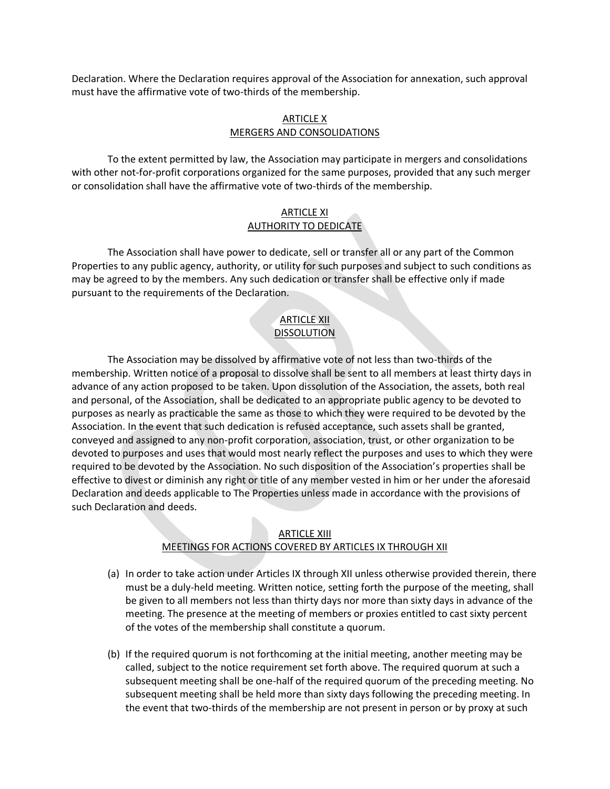Declaration. Where the Declaration requires approval of the Association for annexation, such approval must have the affirmative vote of two-thirds of the membership.

#### ARTICLE X MERGERS AND CONSOLIDATIONS

To the extent permitted by law, the Association may participate in mergers and consolidations with other not-for-profit corporations organized for the same purposes, provided that any such merger or consolidation shall have the affirmative vote of two-thirds of the membership.

# ARTICLE XI AUTHORITY TO DEDICATE

The Association shall have power to dedicate, sell or transfer all or any part of the Common Properties to any public agency, authority, or utility for such purposes and subject to such conditions as may be agreed to by the members. Any such dedication or transfer shall be effective only if made pursuant to the requirements of the Declaration.

# ARTICLE XII DISSOLUTION

The Association may be dissolved by affirmative vote of not less than two-thirds of the membership. Written notice of a proposal to dissolve shall be sent to all members at least thirty days in advance of any action proposed to be taken. Upon dissolution of the Association, the assets, both real and personal, of the Association, shall be dedicated to an appropriate public agency to be devoted to purposes as nearly as practicable the same as those to which they were required to be devoted by the Association. In the event that such dedication is refused acceptance, such assets shall be granted, conveyed and assigned to any non-profit corporation, association, trust, or other organization to be devoted to purposes and uses that would most nearly reflect the purposes and uses to which they were required to be devoted by the Association. No such disposition of the Association's properties shall be effective to divest or diminish any right or title of any member vested in him or her under the aforesaid Declaration and deeds applicable to The Properties unless made in accordance with the provisions of such Declaration and deeds.

# ARTICLE XIII MEETINGS FOR ACTIONS COVERED BY ARTICLES IX THROUGH XII

- (a) In order to take action under Articles IX through XII unless otherwise provided therein, there must be a duly-held meeting. Written notice, setting forth the purpose of the meeting, shall be given to all members not less than thirty days nor more than sixty days in advance of the meeting. The presence at the meeting of members or proxies entitled to cast sixty percent of the votes of the membership shall constitute a quorum.
- (b) If the required quorum is not forthcoming at the initial meeting, another meeting may be called, subject to the notice requirement set forth above. The required quorum at such a subsequent meeting shall be one-half of the required quorum of the preceding meeting. No subsequent meeting shall be held more than sixty days following the preceding meeting. In the event that two-thirds of the membership are not present in person or by proxy at such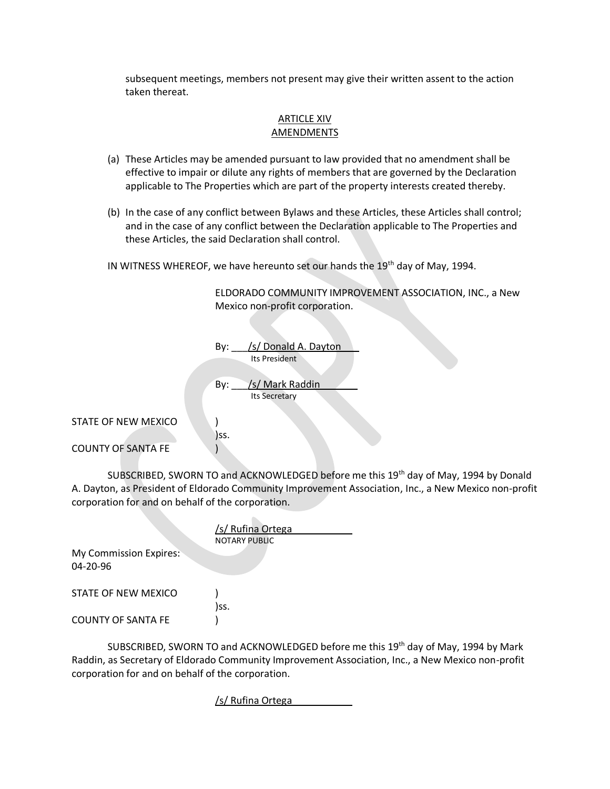subsequent meetings, members not present may give their written assent to the action taken thereat.

#### ARTICLE XIV AMENDMENTS

- (a) These Articles may be amended pursuant to law provided that no amendment shall be effective to impair or dilute any rights of members that are governed by the Declaration applicable to The Properties which are part of the property interests created thereby.
- (b) In the case of any conflict between Bylaws and these Articles, these Articles shall control; and in the case of any conflict between the Declaration applicable to The Properties and these Articles, the said Declaration shall control.

IN WITNESS WHEREOF, we have hereunto set our hands the 19<sup>th</sup> day of May, 1994.

ELDORADO COMMUNITY IMPROVEMENT ASSOCIATION, INC., a New Mexico non-profit corporation.

|                                                  | /s/ Donald A. Dayton<br>By:<br>Its President   |  |
|--------------------------------------------------|------------------------------------------------|--|
|                                                  | /s/ Mark Raddin<br>By:<br><b>Its Secretary</b> |  |
| STATE OF NEW MEXICO<br><b>COUNTY OF SANTA FE</b> | )SS.                                           |  |

SUBSCRIBED, SWORN TO and ACKNOWLEDGED before me this 19th day of May, 1994 by Donald A. Dayton, as President of Eldorado Community Improvement Association, Inc., a New Mexico non-profit corporation for and on behalf of the corporation.

|                                                 | /s/ Rufina Ortega<br><b>NOTARY PUBLIC</b> |
|-------------------------------------------------|-------------------------------------------|
| <b>My Commission Expires:</b><br>$04 - 20 - 96$ |                                           |
| STATE OF NEW MEXICO                             | )ss.                                      |
| <b>COUNTY OF SANTA FE</b>                       |                                           |

SUBSCRIBED, SWORN TO and ACKNOWLEDGED before me this 19<sup>th</sup> day of May, 1994 by Mark Raddin, as Secretary of Eldorado Community Improvement Association, Inc., a New Mexico non-profit corporation for and on behalf of the corporation.

/s/ Rufina Ortega\_\_\_\_\_\_\_\_\_\_\_